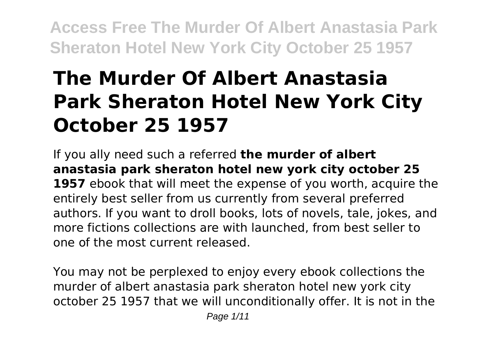# **The Murder Of Albert Anastasia Park Sheraton Hotel New York City October 25 1957**

If you ally need such a referred **the murder of albert anastasia park sheraton hotel new york city october 25 1957** ebook that will meet the expense of you worth, acquire the entirely best seller from us currently from several preferred authors. If you want to droll books, lots of novels, tale, jokes, and more fictions collections are with launched, from best seller to one of the most current released.

You may not be perplexed to enjoy every ebook collections the murder of albert anastasia park sheraton hotel new york city october 25 1957 that we will unconditionally offer. It is not in the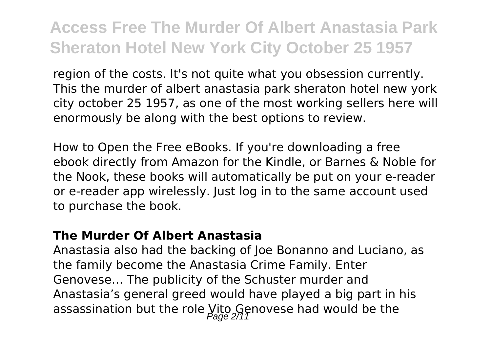region of the costs. It's not quite what you obsession currently. This the murder of albert anastasia park sheraton hotel new york city october 25 1957, as one of the most working sellers here will enormously be along with the best options to review.

How to Open the Free eBooks. If you're downloading a free ebook directly from Amazon for the Kindle, or Barnes & Noble for the Nook, these books will automatically be put on your e-reader or e-reader app wirelessly. Just log in to the same account used to purchase the book.

#### **The Murder Of Albert Anastasia**

Anastasia also had the backing of Joe Bonanno and Luciano, as the family become the Anastasia Crime Family. Enter Genovese… The publicity of the Schuster murder and Anastasia's general greed would have played a big part in his assassination but the role  $y_{i;\alpha}$  Genovese had would be the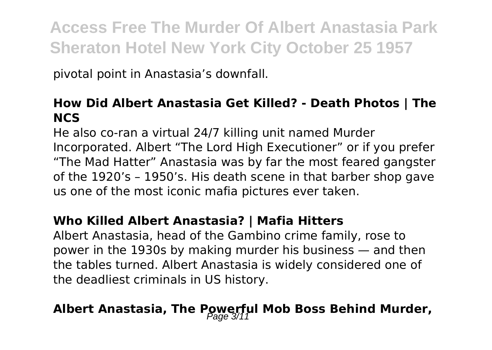pivotal point in Anastasia's downfall.

#### **How Did Albert Anastasia Get Killed? - Death Photos | The NCS**

He also co-ran a virtual 24/7 killing unit named Murder Incorporated. Albert "The Lord High Executioner" or if you prefer "The Mad Hatter" Anastasia was by far the most feared gangster of the 1920's – 1950's. His death scene in that barber shop gave us one of the most iconic mafia pictures ever taken.

#### **Who Killed Albert Anastasia? | Mafia Hitters**

Albert Anastasia, head of the Gambino crime family, rose to power in the 1930s by making murder his business — and then the tables turned. Albert Anastasia is widely considered one of the deadliest criminals in US history.

# **Albert Anastasia, The Powerful Mob Boss Behind Murder,**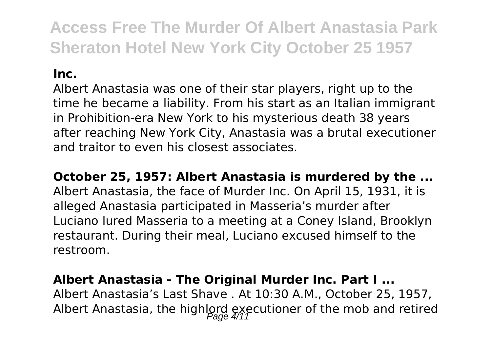#### **Inc.**

Albert Anastasia was one of their star players, right up to the time he became a liability. From his start as an Italian immigrant in Prohibition-era New York to his mysterious death 38 years after reaching New York City, Anastasia was a brutal executioner and traitor to even his closest associates.

**October 25, 1957: Albert Anastasia is murdered by the ...**

Albert Anastasia, the face of Murder Inc. On April 15, 1931, it is alleged Anastasia participated in Masseria's murder after Luciano lured Masseria to a meeting at a Coney Island, Brooklyn restaurant. During their meal, Luciano excused himself to the restroom.

#### **Albert Anastasia - The Original Murder Inc. Part I ...**

Albert Anastasia's Last Shave . At 10:30 A.M., October 25, 1957, Albert Anastasia, the highlord executioner of the mob and retired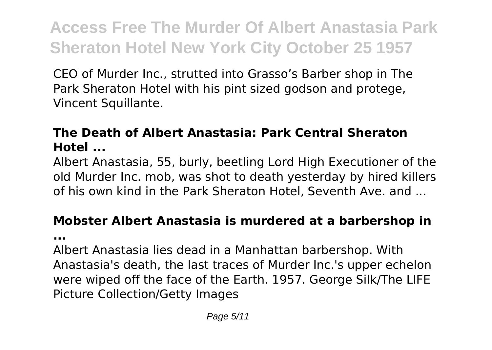CEO of Murder Inc., strutted into Grasso's Barber shop in The Park Sheraton Hotel with his pint sized godson and protege, Vincent Squillante.

### **The Death of Albert Anastasia: Park Central Sheraton Hotel ...**

Albert Anastasia, 55, burly, beetling Lord High Executioner of the old Murder Inc. mob, was shot to death yesterday by hired killers of his own kind in the Park Sheraton Hotel, Seventh Ave. and ...

# **Mobster Albert Anastasia is murdered at a barbershop in**

**...**

Albert Anastasia lies dead in a Manhattan barbershop. With Anastasia's death, the last traces of Murder Inc.'s upper echelon were wiped off the face of the Earth. 1957. George Silk/The LIFE Picture Collection/Getty Images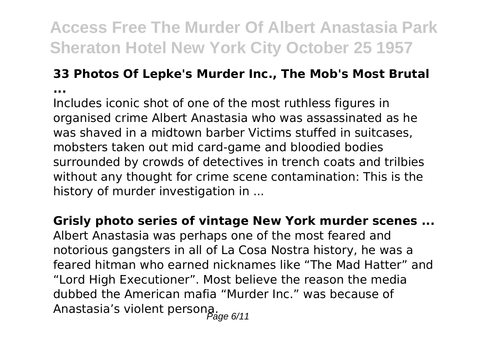#### **33 Photos Of Lepke's Murder Inc., The Mob's Most Brutal ...**

Includes iconic shot of one of the most ruthless figures in organised crime Albert Anastasia who was assassinated as he was shaved in a midtown barber Victims stuffed in suitcases, mobsters taken out mid card-game and bloodied bodies surrounded by crowds of detectives in trench coats and trilbies without any thought for crime scene contamination: This is the history of murder investigation in ...

**Grisly photo series of vintage New York murder scenes ...**

Albert Anastasia was perhaps one of the most feared and notorious gangsters in all of La Cosa Nostra history, he was a feared hitman who earned nicknames like "The Mad Hatter" and "Lord High Executioner". Most believe the reason the media dubbed the American mafia "Murder Inc." was because of Anastasia's violent persona.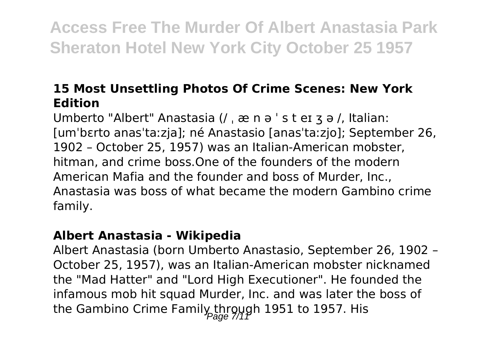### **15 Most Unsettling Photos Of Crime Scenes: New York Edition**

Umberto "Albert" Anastasia (/ ˌ æ n ə ˈ s t eɪ ʒ ə /, Italian: [umˈbɛrto anasˈtaːzja]; né Anastasio [anasˈtaːzjo]; September 26, 1902 – October 25, 1957) was an Italian-American mobster, hitman, and crime boss.One of the founders of the modern American Mafia and the founder and boss of Murder, Inc., Anastasia was boss of what became the modern Gambino crime family.

### **Albert Anastasia - Wikipedia**

Albert Anastasia (born Umberto Anastasio, September 26, 1902 – October 25, 1957), was an Italian-American mobster nicknamed the "Mad Hatter" and "Lord High Executioner". He founded the infamous mob hit squad Murder, Inc. and was later the boss of the Gambino Crime Family through 1951 to 1957. His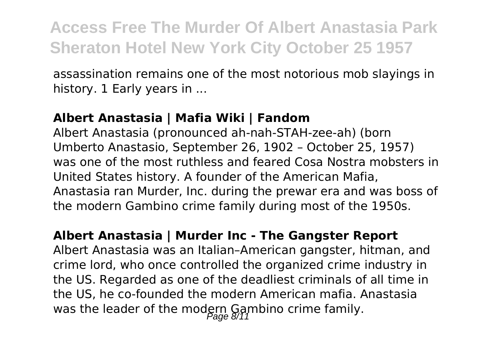assassination remains one of the most notorious mob slayings in history. 1 Early years in ...

#### **Albert Anastasia | Mafia Wiki | Fandom**

Albert Anastasia (pronounced ah-nah-STAH-zee-ah) (born Umberto Anastasio, September 26, 1902 – October 25, 1957) was one of the most ruthless and feared Cosa Nostra mobsters in United States history. A founder of the American Mafia, Anastasia ran Murder, Inc. during the prewar era and was boss of the modern Gambino crime family during most of the 1950s.

#### **Albert Anastasia | Murder Inc - The Gangster Report**

Albert Anastasia was an Italian–American gangster, hitman, and crime lord, who once controlled the organized crime industry in the US. Regarded as one of the deadliest criminals of all time in the US, he co-founded the modern American mafia. Anastasia was the leader of the modern Gambino crime family.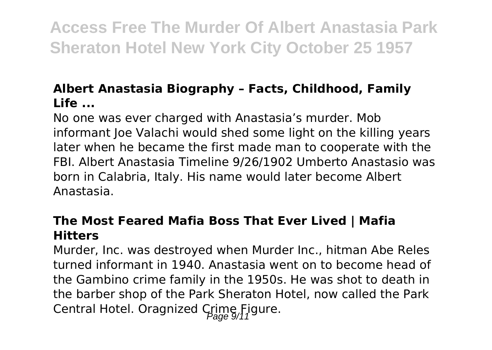### **Albert Anastasia Biography – Facts, Childhood, Family Life ...**

No one was ever charged with Anastasia's murder. Mob informant loe Valachi would shed some light on the killing years later when he became the first made man to cooperate with the FBI. Albert Anastasia Timeline 9/26/1902 Umberto Anastasio was born in Calabria, Italy. His name would later become Albert Anastasia.

### **The Most Feared Mafia Boss That Ever Lived | Mafia Hitters**

Murder, Inc. was destroyed when Murder Inc., hitman Abe Reles turned informant in 1940. Anastasia went on to become head of the Gambino crime family in the 1950s. He was shot to death in the barber shop of the Park Sheraton Hotel, now called the Park Central Hotel. Oragnized Crime Figure.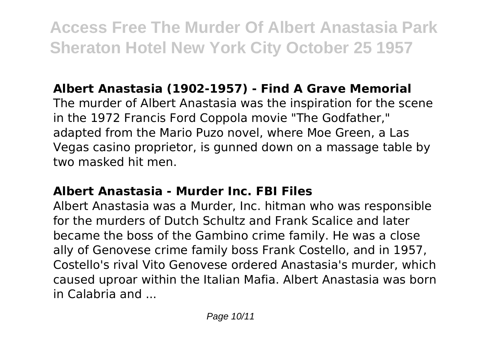# **Albert Anastasia (1902-1957) - Find A Grave Memorial**

The murder of Albert Anastasia was the inspiration for the scene in the 1972 Francis Ford Coppola movie "The Godfather," adapted from the Mario Puzo novel, where Moe Green, a Las Vegas casino proprietor, is gunned down on a massage table by two masked hit men.

### **Albert Anastasia - Murder Inc. FBI Files**

Albert Anastasia was a Murder, Inc. hitman who was responsible for the murders of Dutch Schultz and Frank Scalice and later became the boss of the Gambino crime family. He was a close ally of Genovese crime family boss Frank Costello, and in 1957, Costello's rival Vito Genovese ordered Anastasia's murder, which caused uproar within the Italian Mafia. Albert Anastasia was born in Calabria and ...